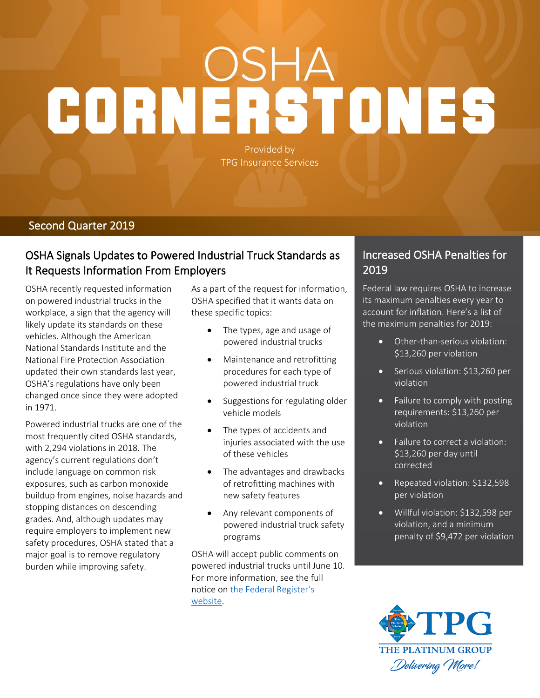# CORNERSTONES

Provided by TPG Insurance Services

### **Second Quarter 2019**

# **OSHA Signals Updates to Powered Industrial Truck Standards as It Requests Information From Employers**

OSHA recently requested information on powered industrial trucks in the workplace, a sign that the agency will likely update its standards on these vehicles. Although the American National Standards Institute and the National Fire Protection Association updated their own standards last year, OSHA's regulations have only been changed once since they were adopted in 1971.

Powered industrial trucks are one of the most frequently cited OSHA standards, with 2,294 violations in 2018. The agency's current regulations don't include language on common risk exposures, such as carbon monoxide buildup from engines, noise hazards and stopping distances on descending grades. And, although updates may require employers to implement new safety procedures, OSHA stated that a major goal is to remove regulatory burden while improving safety.

As a part of the request for information, OSHA specified that it wants data on these specific topics:

- The types, age and usage of powered industrial trucks
- Maintenance and retrofitting procedures for each type of powered industrial truck
- Suggestions for regulating older vehicle models
- The types of accidents and injuries associated with the use of these vehicles
- The advantages and drawbacks of retrofitting machines with new safety features
- Any relevant components of powered industrial truck safety programs

OSHA will accept public comments on powered industrial trucks until June 10. For more information, see the full notice on [the Federal Register's](https://www.federalregister.gov/documents/2019/03/11/2019-04338/powered-industrial-trucks-request-for-information)  [website.](https://www.federalregister.gov/documents/2019/03/11/2019-04338/powered-industrial-trucks-request-for-information)

## **Increased OSHA Penalties for 2019**

Federal law requires OSHA to increase its maximum penalties every year to account for inflation. Here's a list of the maximum penalties for 2019:

- Other-than-serious violation: \$13,260 per violation
- Serious violation: \$13,260 per violation
- Failure to comply with posting requirements: \$13,260 per violation
- Failure to correct a violation: \$13,260 per day until corrected
- Repeated violation: \$132,598 per violation
- Willful violation: \$132,598 per violation, and a minimum penalty of \$9,472 per violation